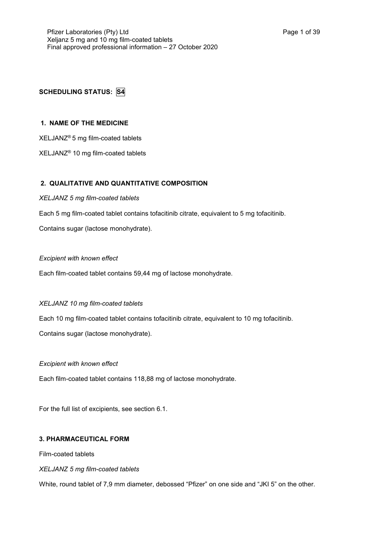# **SCHEDULING STATUS: S4**

# **1. NAME OF THE MEDICINE**

XELJANZ® 5 mg film-coated tablets

XELJANZ® 10 mg film-coated tablets

# **2. QUALITATIVE AND QUANTITATIVE COMPOSITION**

*XELJANZ 5 mg film-coated tablets*

Each 5 mg film-coated tablet contains tofacitinib citrate, equivalent to 5 mg tofacitinib.

Contains sugar (lactose monohydrate).

# *Excipient with known effect*

Each film-coated tablet contains 59,44 mg of lactose monohydrate.

# *XELJANZ 10 mg film-coated tablets*

Each 10 mg film-coated tablet contains tofacitinib citrate, equivalent to 10 mg tofacitinib.

Contains sugar (lactose monohydrate).

## *Excipient with known effect*

Each film-coated tablet contains 118,88 mg of lactose monohydrate.

For the full list of excipients, see section 6.1.

## **3. PHARMACEUTICAL FORM**

Film-coated tablets

# *XELJANZ 5 mg film-coated tablets*

White, round tablet of 7,9 mm diameter, debossed "Pfizer" on one side and "JKI 5" on the other.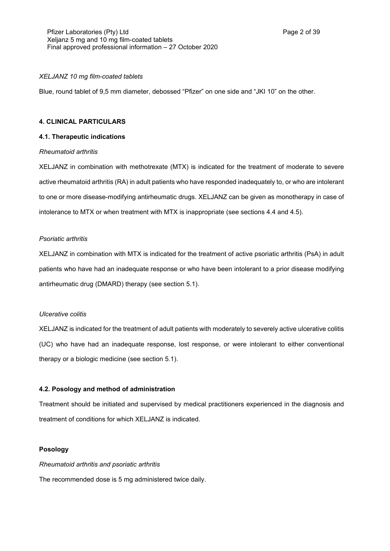## *XELJANZ 10 mg film-coated tablets*

Blue, round tablet of 9,5 mm diameter, debossed "Pfizer" on one side and "JKI 10" on the other.

### **4. CLINICAL PARTICULARS**

## **4.1. Therapeutic indications**

### *Rheumatoid arthritis*

XELJANZ in combination with methotrexate (MTX) is indicated for the treatment of moderate to severe active rheumatoid arthritis (RA) in adult patients who have responded inadequately to, or who are intolerant to one or more disease-modifying antirheumatic drugs. XELJANZ can be given as monotherapy in case of intolerance to MTX or when treatment with MTX is inappropriate (see sections 4.4 and 4.5).

## *Psoriatic arthritis*

XELJANZ in combination with MTX is indicated for the treatment of active psoriatic arthritis (PsA) in adult patients who have had an inadequate response or who have been intolerant to a prior disease modifying antirheumatic drug (DMARD) therapy (see section 5.1).

### *Ulcerative colitis*

XELJANZ is indicated for the treatment of adult patients with moderately to severely active ulcerative colitis (UC) who have had an inadequate response, lost response, or were intolerant to either conventional therapy or a biologic medicine (see section 5.1).

## **4.2. Posology and method of administration**

Treatment should be initiated and supervised by medical practitioners experienced in the diagnosis and treatment of conditions for which XELJANZ is indicated.

## **Posology**

*Rheumatoid arthritis and psoriatic arthritis*

The recommended dose is 5 mg administered twice daily.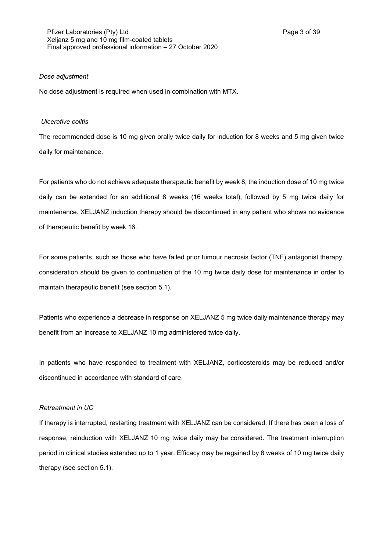## *Dose adjustment*

No dose adjustment is required when used in combination with MTX.

#### *Ulcerative colitis*

The recommended dose is 10 mg given orally twice daily for induction for 8 weeks and 5 mg given twice daily for maintenance.

For patients who do not achieve adequate therapeutic benefit by week 8, the induction dose of 10 mg twice daily can be extended for an additional 8 weeks (16 weeks total), followed by 5 mg twice daily for maintenance. XELJANZ induction therapy should be discontinued in any patient who shows no evidence of therapeutic benefit by week 16.

For some patients, such as those who have failed prior tumour necrosis factor (TNF) antagonist therapy, consideration should be given to continuation of the 10 mg twice daily dose for maintenance in order to maintain therapeutic benefit (see section 5.1).

Patients who experience a decrease in response on XELJANZ 5 mg twice daily maintenance therapy may benefit from an increase to XELJANZ 10 mg administered twice daily.

In patients who have responded to treatment with XELJANZ, corticosteroids may be reduced and/or discontinued in accordance with standard of care.

#### *Retreatment in UC*

If therapy is interrupted, restarting treatment with XELJANZ can be considered. If there has been a loss of response, reinduction with XELJANZ 10 mg twice daily may be considered. The treatment interruption period in clinical studies extended up to 1 year. Efficacy may be regained by 8 weeks of 10 mg twice daily therapy (see section 5.1).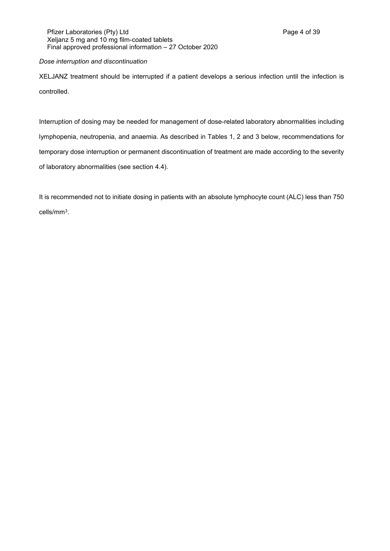# *Dose interruption and discontinuation*

XELJANZ treatment should be interrupted if a patient develops a serious infection until the infection is controlled.

Interruption of dosing may be needed for management of dose-related laboratory abnormalities including lymphopenia, neutropenia, and anaemia. As described in Tables 1, 2 and 3 below, recommendations for temporary dose interruption or permanent discontinuation of treatment are made according to the severity of laboratory abnormalities (see section 4.4).

It is recommended not to initiate dosing in patients with an absolute lymphocyte count (ALC) less than 750 cells/mm<sup>3</sup> .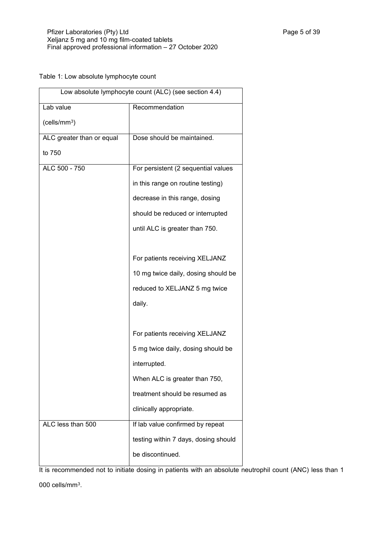Table 1: Low absolute lymphocyte count

| Low absolute lymphocyte count (ALC) (see section 4.4) |                                      |  |
|-------------------------------------------------------|--------------------------------------|--|
| Lab value                                             | Recommendation                       |  |
| (cells/mm <sup>3</sup> )                              |                                      |  |
| ALC greater than or equal                             | Dose should be maintained.           |  |
| to 750                                                |                                      |  |
| ALC 500 - 750                                         | For persistent (2 sequential values  |  |
|                                                       | in this range on routine testing)    |  |
|                                                       | decrease in this range, dosing       |  |
|                                                       | should be reduced or interrupted     |  |
|                                                       | until ALC is greater than 750.       |  |
|                                                       |                                      |  |
|                                                       | For patients receiving XELJANZ       |  |
|                                                       | 10 mg twice daily, dosing should be  |  |
|                                                       | reduced to XELJANZ 5 mg twice        |  |
|                                                       | daily.                               |  |
|                                                       |                                      |  |
|                                                       | For patients receiving XELJANZ       |  |
|                                                       | 5 mg twice daily, dosing should be   |  |
|                                                       | interrupted.                         |  |
|                                                       | When ALC is greater than 750,        |  |
|                                                       | treatment should be resumed as       |  |
|                                                       | clinically appropriate.              |  |
| ALC less than 500                                     | If lab value confirmed by repeat     |  |
|                                                       | testing within 7 days, dosing should |  |
|                                                       | be discontinued.                     |  |

It is recommended not to initiate dosing in patients with an absolute neutrophil count (ANC) less than 1 000 cells/mm $3$ .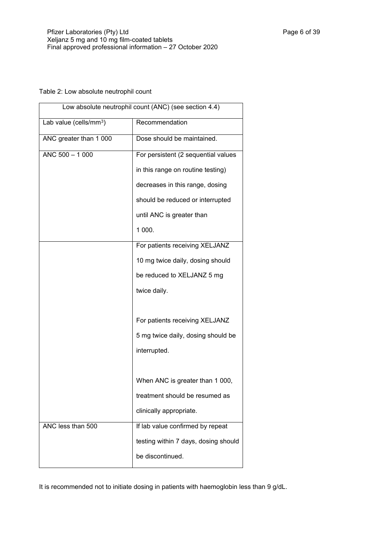# Table 2: Low absolute neutrophil count

| Low absolute neutrophil count (ANC) (see section 4.4) |                                      |  |
|-------------------------------------------------------|--------------------------------------|--|
| Lab value (cells/mm <sup>3</sup> )                    | Recommendation                       |  |
| ANC greater than 1 000                                | Dose should be maintained.           |  |
| $ANC 500 - 1000$                                      | For persistent (2 sequential values  |  |
|                                                       | in this range on routine testing)    |  |
|                                                       | decreases in this range, dosing      |  |
|                                                       | should be reduced or interrupted     |  |
|                                                       | until ANC is greater than            |  |
|                                                       | 1 000.                               |  |
|                                                       | For patients receiving XELJANZ       |  |
|                                                       | 10 mg twice daily, dosing should     |  |
|                                                       | be reduced to XELJANZ 5 mg           |  |
|                                                       | twice daily.                         |  |
|                                                       |                                      |  |
|                                                       | For patients receiving XELJANZ       |  |
|                                                       | 5 mg twice daily, dosing should be   |  |
|                                                       | interrupted.                         |  |
|                                                       |                                      |  |
|                                                       | When ANC is greater than 1 000,      |  |
|                                                       | treatment should be resumed as       |  |
|                                                       | clinically appropriate.              |  |
| ANC less than 500                                     | If lab value confirmed by repeat     |  |
|                                                       | testing within 7 days, dosing should |  |
|                                                       | be discontinued.                     |  |

It is recommended not to initiate dosing in patients with haemoglobin less than 9 g/dL.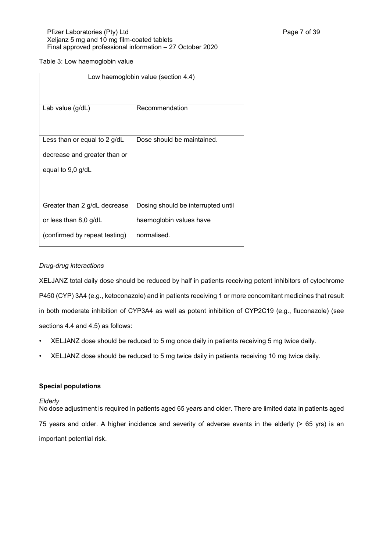# Table 3: Low haemoglobin value

| Low haemoglobin value (section 4.4) |                                    |  |
|-------------------------------------|------------------------------------|--|
|                                     |                                    |  |
| Lab value (g/dL)                    | Recommendation                     |  |
|                                     |                                    |  |
| Less than or equal to 2 g/dL        | Dose should be maintained.         |  |
| decrease and greater than or        |                                    |  |
| equal to 9,0 g/dL                   |                                    |  |
|                                     |                                    |  |
|                                     |                                    |  |
| Greater than 2 g/dL decrease        | Dosing should be interrupted until |  |
| or less than 8,0 $g/dL$             | haemoglobin values have            |  |
| (confirmed by repeat testing)       | normalised.                        |  |

# *Drug-drug interactions*

XELJANZ total daily dose should be reduced by half in patients receiving potent inhibitors of cytochrome P450 (CYP) 3A4 (e.g., ketoconazole) and in patients receiving 1 or more concomitant medicines that result in both moderate inhibition of CYP3A4 as well as potent inhibition of CYP2C19 (e.g., fluconazole) (see sections 4.4 and 4.5) as follows:

- XELJANZ dose should be reduced to 5 mg once daily in patients receiving 5 mg twice daily.
- XELJANZ dose should be reduced to 5 mg twice daily in patients receiving 10 mg twice daily.

## **Special populations**

## *Elderly*

No dose adjustment is required in patients aged 65 years and older. There are limited data in patients aged 75 years and older. A higher incidence and severity of adverse events in the elderly (> 65 yrs) is an important potential risk.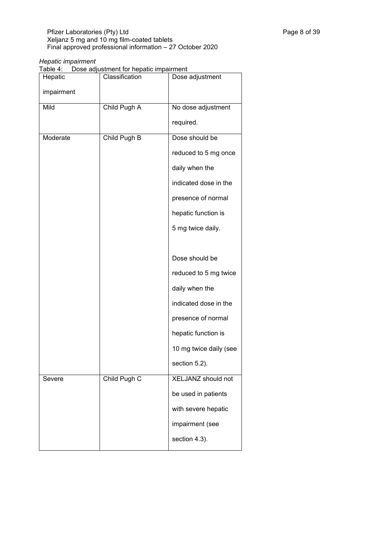## *Hepatic impairment*

Table 4: Dose adjustment for hepatic impairment

| -----      |                |                        |
|------------|----------------|------------------------|
| Hepatic    | Classification | Dose adjustment        |
| impairment |                |                        |
| Mild       | Child Pugh A   | No dose adjustment     |
|            |                | required.              |
| Moderate   | Child Pugh B   | Dose should be         |
|            |                | reduced to 5 mg once   |
|            |                | daily when the         |
|            |                | indicated dose in the  |
|            |                | presence of normal     |
|            |                | hepatic function is    |
|            |                | 5 mg twice daily.      |
|            |                |                        |
|            |                | Dose should be         |
|            |                | reduced to 5 mg twice  |
|            |                | daily when the         |
|            |                | indicated dose in the  |
|            |                | presence of normal     |
|            |                | hepatic function is    |
|            |                | 10 mg twice daily (see |
|            |                | section 5.2).          |
| Severe     | Child Pugh C   | XELJANZ should not     |
|            |                | be used in patients    |
|            |                | with severe hepatic    |
|            |                | impairment (see        |
|            |                | section 4.3).          |
|            |                |                        |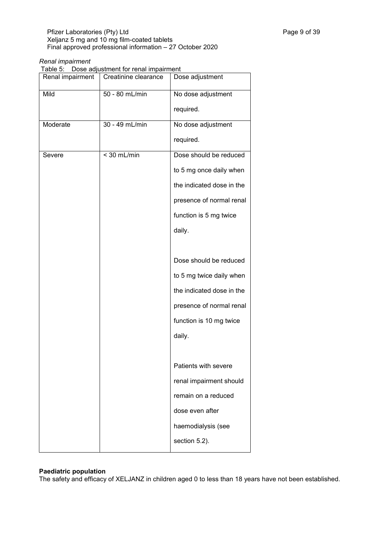## *Renal impairment*

Table 5: Dose adjustment for renal impairment

| Renal impairment | Creatinine clearance | Dose adjustment           |
|------------------|----------------------|---------------------------|
| Mild             | 50 - 80 mL/min       | No dose adjustment        |
|                  |                      | required.                 |
| Moderate         | 30 - 49 mL/min       | No dose adjustment        |
|                  |                      | required.                 |
| Severe           | $<$ 30 mL/min        | Dose should be reduced    |
|                  |                      | to 5 mg once daily when   |
|                  |                      | the indicated dose in the |
|                  |                      | presence of normal renal  |
|                  |                      | function is 5 mg twice    |
|                  |                      | daily.                    |
|                  |                      |                           |
|                  |                      | Dose should be reduced    |
|                  |                      | to 5 mg twice daily when  |
|                  |                      | the indicated dose in the |
|                  |                      | presence of normal renal  |
|                  |                      | function is 10 mg twice   |
|                  |                      | daily.                    |
|                  |                      |                           |
|                  |                      | Patients with severe      |
|                  |                      | renal impairment should   |
|                  |                      | remain on a reduced       |
|                  |                      | dose even after           |
|                  |                      | haemodialysis (see        |
|                  |                      | section 5.2).             |
|                  |                      |                           |

## **Paediatric population**

The safety and efficacy of XELJANZ in children aged 0 to less than 18 years have not been established.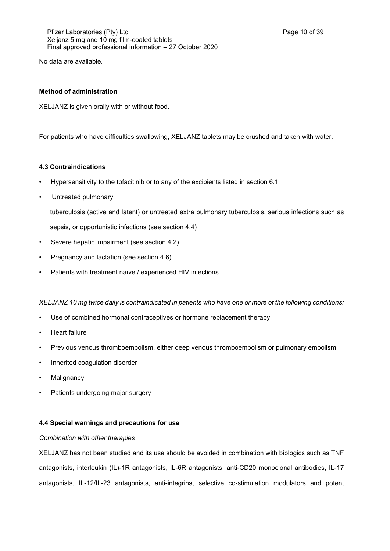Pfizer Laboratories (Pty) Ltd **Philosopheratories** (Pty) Ltd **Page 10 of 39** Xeljanz 5 mg and 10 mg film-coated tablets Final approved professional information – 27 October 2020

No data are available.

# **Method of administration**

XELJANZ is given orally with or without food.

For patients who have difficulties swallowing, XELJANZ tablets may be crushed and taken with water.

# **4.3 Contraindications**

- Hypersensitivity to the tofacitinib or to any of the excipients listed in section 6.1
- Untreated pulmonary

tuberculosis (active and latent) or untreated extra pulmonary tuberculosis, serious infections such as

sepsis, or opportunistic infections (see section 4.4)

- Severe hepatic impairment (see section 4.2)
- Pregnancy and lactation (see section 4.6)
- Patients with treatment naïve / experienced HIV infections

*XELJANZ 10 mg twice daily is contraindicated in patients who have one or more of the following conditions:*

- Use of combined hormonal contraceptives or hormone replacement therapy
- Heart failure
- Previous venous thromboembolism, either deep venous thromboembolism or pulmonary embolism
- Inherited coagulation disorder
- Malignancy
- Patients undergoing major surgery

## **4.4 Special warnings and precautions for use**

## *Combination with other therapies*

XELJANZ has not been studied and its use should be avoided in combination with biologics such as TNF antagonists, interleukin (IL)-1R antagonists, IL-6R antagonists, anti-CD20 monoclonal antibodies, IL-17 antagonists, IL-12/IL-23 antagonists, anti-integrins, selective co-stimulation modulators and potent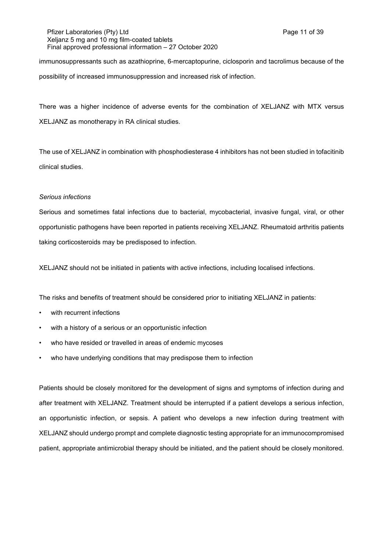## Pfizer Laboratories (Pty) Ltd **Philosopheratories** (Pty) Ltd **Page 11 of 39** Xeljanz 5 mg and 10 mg film-coated tablets Final approved professional information – 27 October 2020

immunosuppressants such as azathioprine, 6-mercaptopurine, ciclosporin and tacrolimus because of the possibility of increased immunosuppression and increased risk of infection.

There was a higher incidence of adverse events for the combination of XELJANZ with MTX versus XELJANZ as monotherapy in RA clinical studies.

The use of XELJANZ in combination with phosphodiesterase 4 inhibitors has not been studied in tofacitinib clinical studies.

## *Serious infections*

Serious and sometimes fatal infections due to bacterial, mycobacterial, invasive fungal, viral, or other opportunistic pathogens have been reported in patients receiving XELJANZ. Rheumatoid arthritis patients taking corticosteroids may be predisposed to infection.

XELJANZ should not be initiated in patients with active infections, including localised infections.

The risks and benefits of treatment should be considered prior to initiating XELJANZ in patients:

- with recurrent infections
- with a history of a serious or an opportunistic infection
- who have resided or travelled in areas of endemic mycoses
- who have underlying conditions that may predispose them to infection

Patients should be closely monitored for the development of signs and symptoms of infection during and after treatment with XELJANZ. Treatment should be interrupted if a patient develops a serious infection, an opportunistic infection, or sepsis. A patient who develops a new infection during treatment with XELJANZ should undergo prompt and complete diagnostic testing appropriate for an immunocompromised patient, appropriate antimicrobial therapy should be initiated, and the patient should be closely monitored.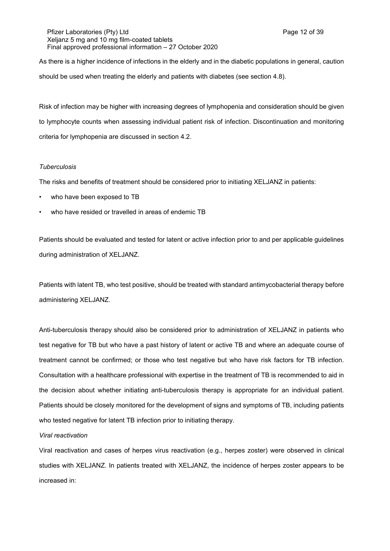Pfizer Laboratories (Pty) Ltd **Philosopheratories** (Pty) Ltd **Page 12 of 39** Xeljanz 5 mg and 10 mg film-coated tablets Final approved professional information – 27 October 2020

As there is a higher incidence of infections in the elderly and in the diabetic populations in general, caution should be used when treating the elderly and patients with diabetes (see section 4.8).

Risk of infection may be higher with increasing degrees of lymphopenia and consideration should be given to lymphocyte counts when assessing individual patient risk of infection. Discontinuation and monitoring criteria for lymphopenia are discussed in section 4.2.

### *Tuberculosis*

The risks and benefits of treatment should be considered prior to initiating XELJANZ in patients:

- who have been exposed to TB
- who have resided or travelled in areas of endemic TB

Patients should be evaluated and tested for latent or active infection prior to and per applicable guidelines during administration of XELJANZ.

Patients with latent TB, who test positive, should be treated with standard antimycobacterial therapy before administering XELJANZ.

Anti-tuberculosis therapy should also be considered prior to administration of XELJANZ in patients who test negative for TB but who have a past history of latent or active TB and where an adequate course of treatment cannot be confirmed; or those who test negative but who have risk factors for TB infection. Consultation with a healthcare professional with expertise in the treatment of TB is recommended to aid in the decision about whether initiating anti-tuberculosis therapy is appropriate for an individual patient. Patients should be closely monitored for the development of signs and symptoms of TB, including patients who tested negative for latent TB infection prior to initiating therapy.

## *Viral reactivation*

Viral reactivation and cases of herpes virus reactivation (e.g., herpes zoster) were observed in clinical studies with XELJANZ. In patients treated with XELJANZ, the incidence of herpes zoster appears to be increased in: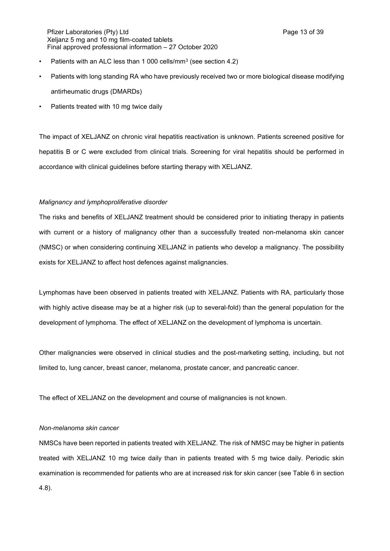- Patients with an ALC less than 1 000 cells/mm<sup>3</sup> (see section 4.2)
- Patients with long standing RA who have previously received two or more biological disease modifying antirheumatic drugs (DMARDs)
- Patients treated with 10 mg twice daily

The impact of XELJANZ on chronic viral hepatitis reactivation is unknown. Patients screened positive for hepatitis B or C were excluded from clinical trials. Screening for viral hepatitis should be performed in accordance with clinical guidelines before starting therapy with XELJANZ.

#### *Malignancy and lymphoproliferative disorder*

The risks and benefits of XELJANZ treatment should be considered prior to initiating therapy in patients with current or a history of malignancy other than a successfully treated non-melanoma skin cancer (NMSC) or when considering continuing XELJANZ in patients who develop a malignancy. The possibility exists for XELJANZ to affect host defences against malignancies.

Lymphomas have been observed in patients treated with XELJANZ. Patients with RA, particularly those with highly active disease may be at a higher risk (up to several-fold) than the general population for the development of lymphoma. The effect of XELJANZ on the development of lymphoma is uncertain.

Other malignancies were observed in clinical studies and the post-marketing setting, including, but not limited to, lung cancer, breast cancer, melanoma, prostate cancer, and pancreatic cancer.

The effect of XELJANZ on the development and course of malignancies is not known.

## *Non-melanoma skin cancer*

NMSCs have been reported in patients treated with XELJANZ. The risk of NMSC may be higher in patients treated with XELJANZ 10 mg twice daily than in patients treated with 5 mg twice daily. Periodic skin examination is recommended for patients who are at increased risk for skin cancer (see Table 6 in section 4.8).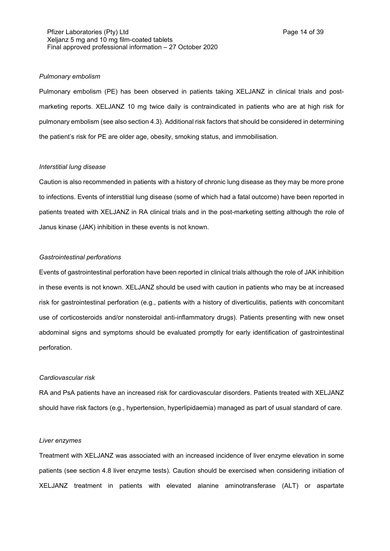#### *Pulmonary embolism*

Pulmonary embolism (PE) has been observed in patients taking XELJANZ in clinical trials and postmarketing reports. XELJANZ 10 mg twice daily is contraindicated in patients who are at high risk for pulmonary embolism (see also section 4.3). Additional risk factors that should be considered in determining the patient's risk for PE are older age, obesity, smoking status, and immobilisation.

#### *Interstitial lung disease*

Caution is also recommended in patients with a history of chronic lung disease as they may be more prone to infections. Events of interstitial lung disease (some of which had a fatal outcome) have been reported in patients treated with XELJANZ in RA clinical trials and in the post-marketing setting although the role of Janus kinase (JAK) inhibition in these events is not known.

## *Gastrointestinal perforations*

Events of gastrointestinal perforation have been reported in clinical trials although the role of JAK inhibition in these events is not known. XELJANZ should be used with caution in patients who may be at increased risk for gastrointestinal perforation (e.g., patients with a history of diverticulitis, patients with concomitant use of corticosteroids and/or nonsteroidal anti-inflammatory drugs). Patients presenting with new onset abdominal signs and symptoms should be evaluated promptly for early identification of gastrointestinal perforation.

#### *Cardiovascular risk*

RA and PsA patients have an increased risk for cardiovascular disorders. Patients treated with XELJANZ should have risk factors (e.g., hypertension, hyperlipidaemia) managed as part of usual standard of care.

#### *Liver enzymes*

Treatment with XELJANZ was associated with an increased incidence of liver enzyme elevation in some patients (see section 4.8 liver enzyme tests). Caution should be exercised when considering initiation of XELJANZ treatment in patients with elevated alanine aminotransferase (ALT) or aspartate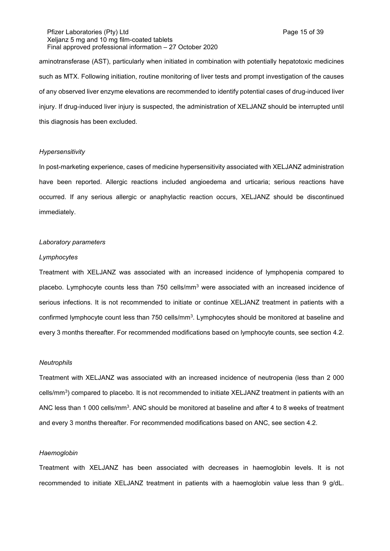aminotransferase (AST), particularly when initiated in combination with potentially hepatotoxic medicines such as MTX. Following initiation, routine monitoring of liver tests and prompt investigation of the causes of any observed liver enzyme elevations are recommended to identify potential cases of drug-induced liver injury. If drug-induced liver injury is suspected, the administration of XELJANZ should be interrupted until this diagnosis has been excluded.

#### *Hypersensitivity*

In post-marketing experience, cases of medicine hypersensitivity associated with XELJANZ administration have been reported. Allergic reactions included angioedema and urticaria; serious reactions have occurred. If any serious allergic or anaphylactic reaction occurs, XELJANZ should be discontinued immediately.

#### *Laboratory parameters*

## *Lymphocytes*

Treatment with XELJANZ was associated with an increased incidence of lymphopenia compared to placebo. Lymphocyte counts less than 750 cells/mm<sup>3</sup> were associated with an increased incidence of serious infections. It is not recommended to initiate or continue XELJANZ treatment in patients with a confirmed lymphocyte count less than 750 cells/mm<sup>3</sup>. Lymphocytes should be monitored at baseline and every 3 months thereafter. For recommended modifications based on lymphocyte counts, see section 4.2.

### *Neutrophils*

Treatment with XELJANZ was associated with an increased incidence of neutropenia (less than 2 000 cells/mm<sup>3</sup>) compared to placebo. It is not recommended to initiate XELJANZ treatment in patients with an ANC less than 1 000 cells/mm $^3$ . ANC should be monitored at baseline and after 4 to 8 weeks of treatment and every 3 months thereafter. For recommended modifications based on ANC, see section 4.2.

#### *Haemoglobin*

Treatment with XELJANZ has been associated with decreases in haemoglobin levels. It is not recommended to initiate XELJANZ treatment in patients with a haemoglobin value less than 9 g/dL.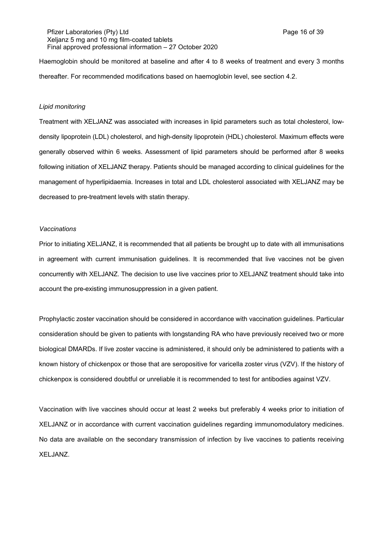Pfizer Laboratories (Pty) Ltd **Philosopheratories** (Pty) Ltd **Page 16 of 39** Xeljanz 5 mg and 10 mg film-coated tablets Final approved professional information – 27 October 2020

Haemoglobin should be monitored at baseline and after 4 to 8 weeks of treatment and every 3 months thereafter. For recommended modifications based on haemoglobin level, see section 4.2.

## *Lipid monitoring*

Treatment with XELJANZ was associated with increases in lipid parameters such as total cholesterol, lowdensity lipoprotein (LDL) cholesterol, and high-density lipoprotein (HDL) cholesterol. Maximum effects were generally observed within 6 weeks. Assessment of lipid parameters should be performed after 8 weeks following initiation of XELJANZ therapy. Patients should be managed according to clinical guidelines for the management of hyperlipidaemia. Increases in total and LDL cholesterol associated with XELJANZ may be decreased to pre-treatment levels with statin therapy.

### *Vaccinations*

Prior to initiating XELJANZ, it is recommended that all patients be brought up to date with all immunisations in agreement with current immunisation guidelines. It is recommended that live vaccines not be given concurrently with XELJANZ. The decision to use live vaccines prior to XELJANZ treatment should take into account the pre-existing immunosuppression in a given patient.

Prophylactic zoster vaccination should be considered in accordance with vaccination guidelines. Particular consideration should be given to patients with longstanding RA who have previously received two or more biological DMARDs. If live zoster vaccine is administered, it should only be administered to patients with a known history of chickenpox or those that are seropositive for varicella zoster virus (VZV). If the history of chickenpox is considered doubtful or unreliable it is recommended to test for antibodies against VZV.

Vaccination with live vaccines should occur at least 2 weeks but preferably 4 weeks prior to initiation of XELJANZ or in accordance with current vaccination guidelines regarding immunomodulatory medicines. No data are available on the secondary transmission of infection by live vaccines to patients receiving XELJANZ.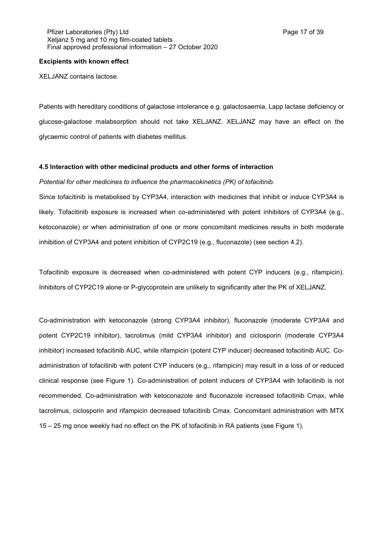#### **Excipients with known effect**

XELJANZ contains lactose.

Patients with hereditary conditions of galactose intolerance e.g. galactosaemia, Lapp lactase deficiency or glucose-galactose malabsorption should not take XELJANZ. XELJANZ may have an effect on the glycaemic control of patients with diabetes mellitus.

#### **4.5 Interaction with other medicinal products and other forms of interaction**

## *Potential for other medicines to influence the pharmacokinetics (PK) of tofacitinib.*

Since tofacitinib is metabolised by CYP3A4, interaction with medicines that inhibit or induce CYP3A4 is likely. Tofacitinib exposure is increased when co-administered with potent inhibitors of CYP3A4 (e.g., ketoconazole) or when administration of one or more concomitant medicines results in both moderate inhibition of CYP3A4 and potent inhibition of CYP2C19 (e.g., fluconazole) (see section 4.2).

Tofacitinib exposure is decreased when co-administered with potent CYP inducers (e.g., rifampicin). Inhibitors of CYP2C19 alone or P-glycoprotein are unlikely to significantly alter the PK of XELJANZ.

Co-administration with ketoconazole (strong CYP3A4 inhibitor), fluconazole (moderate CYP3A4 and potent CYP2C19 inhibitor), tacrolimus (mild CYP3A4 inhibitor) and ciclosporin (moderate CYP3A4 inhibitor) increased tofacitinib AUC, while rifampicin (potent CYP inducer) decreased tofacitinib AUC. Coadministration of tofacitinib with potent CYP inducers (e.g., rifampicin) may result in a loss of or reduced clinical response (see Figure 1). Co-administration of potent inducers of CYP3A4 with tofacitinib is not recommended. Co-administration with ketoconazole and fluconazole increased tofacitinib Cmax, while tacrolimus, ciclosporin and rifampicin decreased tofacitinib Cmax. Concomitant administration with MTX 15 – 25 mg once weekly had no effect on the PK of tofacitinib in RA patients (see Figure 1).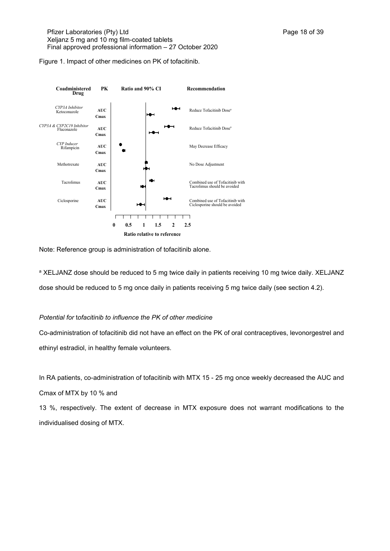Figure 1. Impact of other medicines on PK of tofacitinib.



Note: Reference group is administration of tofacitinib alone.

a XELJANZ dose should be reduced to 5 mg twice daily in patients receiving 10 mg twice daily. XELJANZ dose should be reduced to 5 mg once daily in patients receiving 5 mg twice daily (see section 4.2).

## *Potential for* t*ofacitinib to influence the PK of other medicine*

Co-administration of tofacitinib did not have an effect on the PK of oral contraceptives, levonorgestrel and ethinyl estradiol, in healthy female volunteers.

In RA patients, co-administration of tofacitinib with MTX 15 - 25 mg once weekly decreased the AUC and Cmax of MTX by 10 % and

13 %, respectively. The extent of decrease in MTX exposure does not warrant modifications to the individualised dosing of MTX.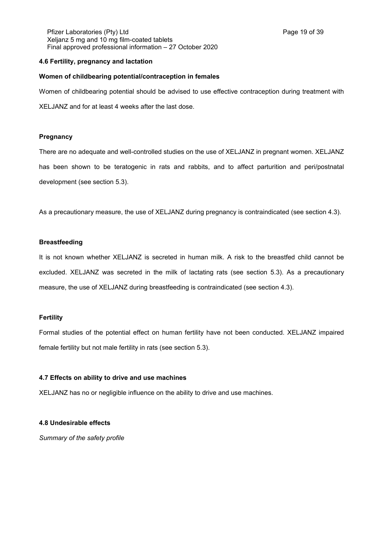Pfizer Laboratories (Pty) Ltd **Philosopheratories** (Pty) Ltd **Page 19 of 39** Xeljanz 5 mg and 10 mg film-coated tablets Final approved professional information – 27 October 2020

## **4.6 Fertility, pregnancy and lactation**

#### **Women of childbearing potential/contraception in females**

Women of childbearing potential should be advised to use effective contraception during treatment with

XELJANZ and for at least 4 weeks after the last dose.

## **Pregnancy**

There are no adequate and well-controlled studies on the use of XELJANZ in pregnant women. XELJANZ has been shown to be teratogenic in rats and rabbits, and to affect parturition and peri/postnatal development (see section 5.3).

As a precautionary measure, the use of XELJANZ during pregnancy is contraindicated (see section 4.3).

## **Breastfeeding**

It is not known whether XELJANZ is secreted in human milk. A risk to the breastfed child cannot be excluded. XELJANZ was secreted in the milk of lactating rats (see section 5.3). As a precautionary measure, the use of XELJANZ during breastfeeding is contraindicated (see section 4.3).

## **Fertility**

Formal studies of the potential effect on human fertility have not been conducted. XELJANZ impaired female fertility but not male fertility in rats (see section 5.3).

## **4.7 Effects on ability to drive and use machines**

XELJANZ has no or negligible influence on the ability to drive and use machines.

### **4.8 Undesirable effects**

*Summary of the safety profile*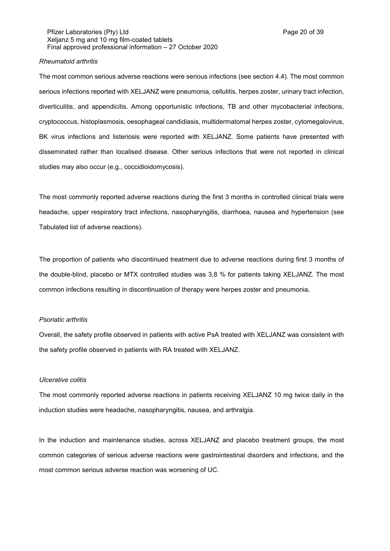Pfizer Laboratories (Pty) Ltd **Philosopheratories** (Pty) Ltd **Page 20 of 39** Xeljanz 5 mg and 10 mg film-coated tablets Final approved professional information – 27 October 2020

## *Rheumatoid arthritis*

The most common serious adverse reactions were serious infections (see section 4.4). The most common serious infections reported with XELJANZ were pneumonia, cellulitis, herpes zoster, urinary tract infection, diverticulitis, and appendicitis. Among opportunistic infections, TB and other mycobacterial infections, cryptococcus, histoplasmosis, oesophageal candidiasis, multidermatomal herpes zoster, cytomegalovirus, BK virus infections and listeriosis were reported with XELJANZ. Some patients have presented with disseminated rather than localised disease. Other serious infections that were not reported in clinical studies may also occur (e.g., coccidioidomycosis).

The most commonly reported adverse reactions during the first 3 months in controlled clinical trials were headache, upper respiratory tract infections, nasopharyngitis, diarrhoea, nausea and hypertension (see Tabulated list of adverse reactions).

The proportion of patients who discontinued treatment due to adverse reactions during first 3 months of the double-blind, placebo or MTX controlled studies was 3,8 % for patients taking XELJANZ. The most common infections resulting in discontinuation of therapy were herpes zoster and pneumonia*.*

### *Psoriatic arthritis*

Overall, the safety profile observed in patients with active PsA treated with XELJANZ was consistent with the safety profile observed in patients with RA treated with XELJANZ.

#### *Ulcerative colitis*

The most commonly reported adverse reactions in patients receiving XELJANZ 10 mg twice daily in the induction studies were headache, nasopharyngitis, nausea, and arthralgia.

In the induction and maintenance studies, across XELJANZ and placebo treatment groups, the most common categories of serious adverse reactions were gastrointestinal disorders and infections, and the most common serious adverse reaction was worsening of UC.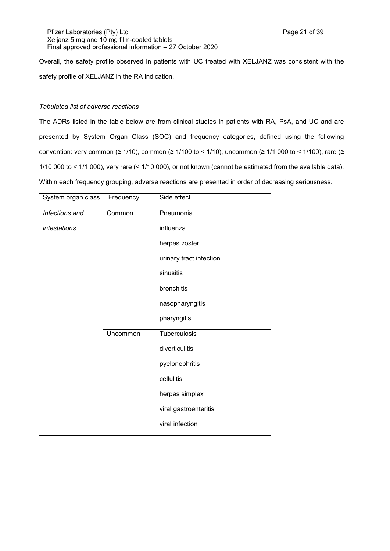Pfizer Laboratories (Pty) Ltd **Philosopheratories** (Pty) Ltd **Page 21 of 39** Xeljanz 5 mg and 10 mg film-coated tablets Final approved professional information – 27 October 2020

Overall, the safety profile observed in patients with UC treated with XELJANZ was consistent with the safety profile of XELJANZ in the RA indication.

## *Tabulated list of adverse reactions*

The ADRs listed in the table below are from clinical studies in patients with RA, PsA, and UC and are presented by System Organ Class (SOC) and frequency categories, defined using the following convention: very common ( $\geq 1/10$ ), common ( $\geq 1/100$  to < 1/10), uncommon ( $\geq 1/1$  000 to < 1/100), rare ( $\geq$ 1/10 000 to < 1/1 000), very rare (< 1/10 000), or not known (cannot be estimated from the available data). Within each frequency grouping, adverse reactions are presented in order of decreasing seriousness.

| System organ class | Frequency | Side effect             |
|--------------------|-----------|-------------------------|
| Infections and     | Common    | Pneumonia               |
| infestations       |           | influenza               |
|                    |           | herpes zoster           |
|                    |           | urinary tract infection |
|                    |           | sinusitis               |
|                    |           | bronchitis              |
|                    |           | nasopharyngitis         |
|                    |           | pharyngitis             |
|                    | Uncommon  | Tuberculosis            |
|                    |           | diverticulitis          |
|                    |           | pyelonephritis          |
|                    |           | cellulitis              |
|                    |           | herpes simplex          |
|                    |           | viral gastroenteritis   |
|                    |           | viral infection         |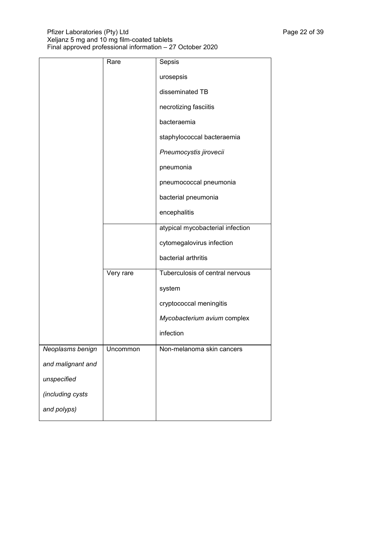|                   | Rare      | Sepsis                           |
|-------------------|-----------|----------------------------------|
|                   |           | urosepsis                        |
|                   |           | disseminated TB                  |
|                   |           | necrotizing fasciitis            |
|                   |           | bacteraemia                      |
|                   |           | staphylococcal bacteraemia       |
|                   |           | Pneumocystis jirovecii           |
|                   |           | pneumonia                        |
|                   |           | pneumococcal pneumonia           |
|                   |           | bacterial pneumonia              |
|                   |           | encephalitis                     |
|                   |           | atypical mycobacterial infection |
|                   |           | cytomegalovirus infection        |
|                   |           | bacterial arthritis              |
|                   | Very rare | Tuberculosis of central nervous  |
|                   |           | system                           |
|                   |           | cryptococcal meningitis          |
|                   |           | Mycobacterium avium complex      |
|                   |           | infection                        |
| Neoplasms benign  | Uncommon  | Non-melanoma skin cancers        |
| and malignant and |           |                                  |
| unspecified       |           |                                  |
| (including cysts  |           |                                  |
| and polyps)       |           |                                  |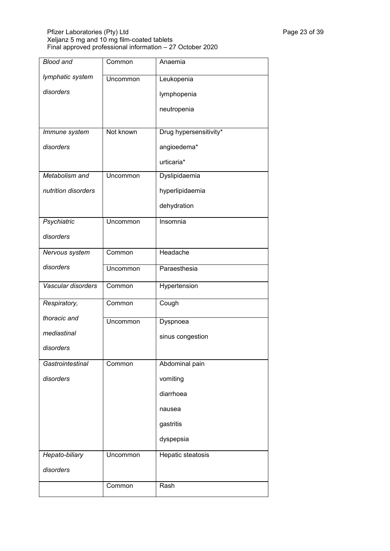## Pfizer Laboratories (Pty) Ltd Page 23 of 39 Xeljanz 5 mg and 10 mg film-coated tablets Final approved professional information – 27 October 2020

| <b>Blood and</b>    | Common    | Anaemia                |
|---------------------|-----------|------------------------|
| lymphatic system    | Uncommon  | Leukopenia             |
| disorders           |           | lymphopenia            |
|                     |           | neutropenia            |
|                     |           |                        |
| Immune system       | Not known | Drug hypersensitivity* |
| disorders           |           | angioedema*            |
|                     |           | urticaria*             |
| Metabolism and      | Uncommon  | Dyslipidaemia          |
| nutrition disorders |           | hyperlipidaemia        |
|                     |           | dehydration            |
| Psychiatric         | Uncommon  | Insomnia               |
| disorders           |           |                        |
| Nervous system      | Common    | Headache               |
| disorders           | Uncommon  | Paraesthesia           |
| Vascular disorders  | Common    | Hypertension           |
| Respiratory,        | Common    | Cough                  |
| thoracic and        | Uncommon  | Dyspnoea               |
| mediastinal         |           | sinus congestion       |
| disorders           |           |                        |
| Gastrointestinal    | Common    | Abdominal pain         |
| disorders           |           | vomiting               |
|                     |           | diarrhoea              |
|                     |           | nausea                 |
|                     |           | gastritis              |
|                     |           | dyspepsia              |
| Hepato-biliary      | Uncommon  | Hepatic steatosis      |
| disorders           |           |                        |
|                     | Common    | Rash                   |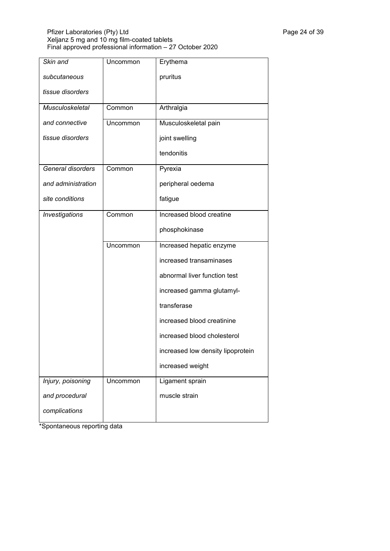## Pfizer Laboratories (Pty) Ltd Page 24 of 39 Xeljanz 5 mg and 10 mg film-coated tablets Final approved professional information – 27 October 2020

| Skin and           | Uncommon | Erythema                          |
|--------------------|----------|-----------------------------------|
| subcutaneous       |          | pruritus                          |
| tissue disorders   |          |                                   |
| Musculoskeletal    | Common   | Arthralgia                        |
| and connective     | Uncommon | Musculoskeletal pain              |
| tissue disorders   |          | joint swelling                    |
|                    |          | tendonitis                        |
| General disorders  | Common   | Pyrexia                           |
| and administration |          | peripheral oedema                 |
| site conditions    |          | fatigue                           |
| Investigations     | Common   | Increased blood creatine          |
|                    |          | phosphokinase                     |
|                    | Uncommon | Increased hepatic enzyme          |
|                    |          | increased transaminases           |
|                    |          | abnormal liver function test      |
|                    |          | increased gamma glutamyl-         |
|                    |          | transferase                       |
|                    |          | increased blood creatinine        |
|                    |          | increased blood cholesterol       |
|                    |          | increased low density lipoprotein |
|                    |          | increased weight                  |
| Injury, poisoning  | Uncommon | Ligament sprain                   |
| and procedural     |          | muscle strain                     |
| complications      |          |                                   |

\*Spontaneous reporting data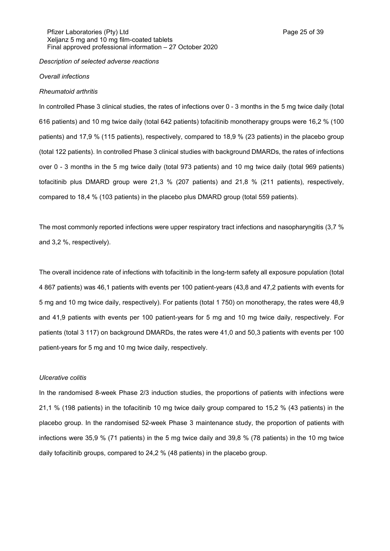## *Description of selected adverse reactions*

#### *Overall infections*

#### *Rheumatoid arthritis*

In controlled Phase 3 clinical studies, the rates of infections over 0 - 3 months in the 5 mg twice daily (total 616 patients) and 10 mg twice daily (total 642 patients) tofacitinib monotherapy groups were 16,2 % (100 patients) and 17,9 % (115 patients), respectively, compared to 18,9 % (23 patients) in the placebo group (total 122 patients). In controlled Phase 3 clinical studies with background DMARDs, the rates of infections over 0 - 3 months in the 5 mg twice daily (total 973 patients) and 10 mg twice daily (total 969 patients) tofacitinib plus DMARD group were 21,3 % (207 patients) and 21,8 % (211 patients), respectively, compared to 18,4 % (103 patients) in the placebo plus DMARD group (total 559 patients).

The most commonly reported infections were upper respiratory tract infections and nasopharyngitis (3,7 % and 3,2 %, respectively).

The overall incidence rate of infections with tofacitinib in the long-term safety all exposure population (total 4 867 patients) was 46,1 patients with events per 100 patient-years (43,8 and 47,2 patients with events for 5 mg and 10 mg twice daily, respectively). For patients (total 1 750) on monotherapy, the rates were 48,9 and 41,9 patients with events per 100 patient-years for 5 mg and 10 mg twice daily, respectively. For patients (total 3 117) on background DMARDs, the rates were 41,0 and 50,3 patients with events per 100 patient-years for 5 mg and 10 mg twice daily, respectively.

#### *Ulcerative colitis*

In the randomised 8-week Phase 2/3 induction studies, the proportions of patients with infections were 21,1 % (198 patients) in the tofacitinib 10 mg twice daily group compared to 15,2 % (43 patients) in the placebo group. In the randomised 52-week Phase 3 maintenance study, the proportion of patients with infections were 35,9 % (71 patients) in the 5 mg twice daily and 39,8 % (78 patients) in the 10 mg twice daily tofacitinib groups, compared to 24,2 % (48 patients) in the placebo group.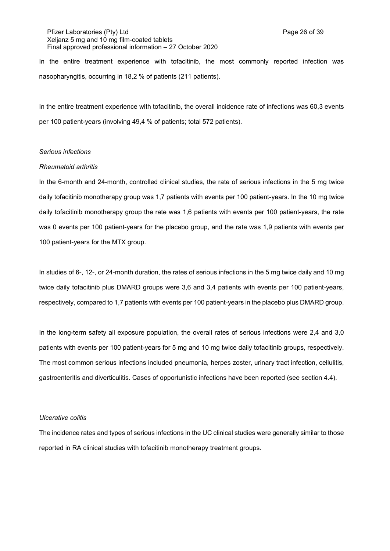Pfizer Laboratories (Pty) Ltd **Philosopheratories** (Pty) Ltd **Page 26 of 39** Xeljanz 5 mg and 10 mg film-coated tablets Final approved professional information – 27 October 2020

In the entire treatment experience with tofacitinib, the most commonly reported infection was nasopharyngitis, occurring in 18,2 % of patients (211 patients).

In the entire treatment experience with tofacitinib, the overall incidence rate of infections was 60,3 events per 100 patient-years (involving 49,4 % of patients; total 572 patients).

#### *Serious infections*

#### *Rheumatoid arthritis*

In the 6-month and 24-month, controlled clinical studies, the rate of serious infections in the 5 mg twice daily tofacitinib monotherapy group was 1,7 patients with events per 100 patient-years. In the 10 mg twice daily tofacitinib monotherapy group the rate was 1,6 patients with events per 100 patient-years, the rate was 0 events per 100 patient-years for the placebo group, and the rate was 1,9 patients with events per 100 patient-years for the MTX group.

In studies of 6-, 12-, or 24-month duration, the rates of serious infections in the 5 mg twice daily and 10 mg twice daily tofacitinib plus DMARD groups were 3,6 and 3,4 patients with events per 100 patient-years, respectively, compared to 1,7 patients with events per 100 patient-years in the placebo plus DMARD group.

In the long-term safety all exposure population, the overall rates of serious infections were 2,4 and 3,0 patients with events per 100 patient-years for 5 mg and 10 mg twice daily tofacitinib groups, respectively. The most common serious infections included pneumonia, herpes zoster, urinary tract infection, cellulitis, gastroenteritis and diverticulitis. Cases of opportunistic infections have been reported (see section 4.4).

#### *Ulcerative colitis*

The incidence rates and types of serious infections in the UC clinical studies were generally similar to those reported in RA clinical studies with tofacitinib monotherapy treatment groups.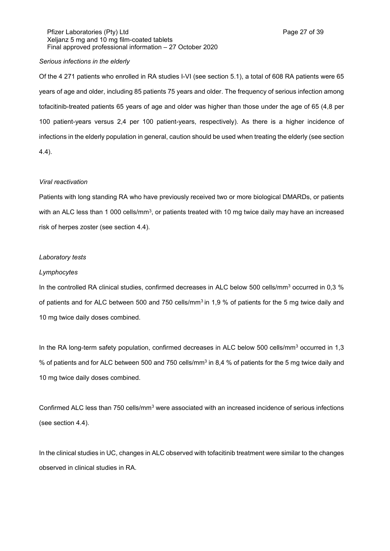## Pfizer Laboratories (Pty) Ltd **Philosopheratories** (Pty) Ltd **Page 27 of 39** Xeljanz 5 mg and 10 mg film-coated tablets Final approved professional information – 27 October 2020

## *Serious infections in the elderly*

Of the 4 271 patients who enrolled in RA studies I-VI (see section 5.1), a total of 608 RA patients were 65 years of age and older, including 85 patients 75 years and older. The frequency of serious infection among tofacitinib-treated patients 65 years of age and older was higher than those under the age of 65 (4,8 per 100 patient-years versus 2,4 per 100 patient-years, respectively). As there is a higher incidence of infections in the elderly population in general, caution should be used when treating the elderly (see section 4.4).

### *Viral reactivation*

Patients with long standing RA who have previously received two or more biological DMARDs, or patients with an ALC less than 1 000 cells/mm $^3$ , or patients treated with 10 mg twice daily may have an increased risk of herpes zoster (see section 4.4).

#### *Laboratory tests*

#### *Lymphocytes*

In the controlled RA clinical studies, confirmed decreases in ALC below 500 cells/mm<sup>3</sup> occurred in 0,3 % of patients and for ALC between 500 and 750 cells/mm<sup>3</sup> in 1,9 % of patients for the 5 mg twice daily and 10 mg twice daily doses combined.

In the RA long-term safety population, confirmed decreases in ALC below 500 cells/mm<sup>3</sup> occurred in 1,3 % of patients and for ALC between 500 and 750 cells/mm<sup>3</sup> in 8,4 % of patients for the 5 mg twice daily and 10 mg twice daily doses combined.

Confirmed ALC less than 750 cells/mm<sup>3</sup> were associated with an increased incidence of serious infections (see section 4.4).

In the clinical studies in UC, changes in ALC observed with tofacitinib treatment were similar to the changes observed in clinical studies in RA.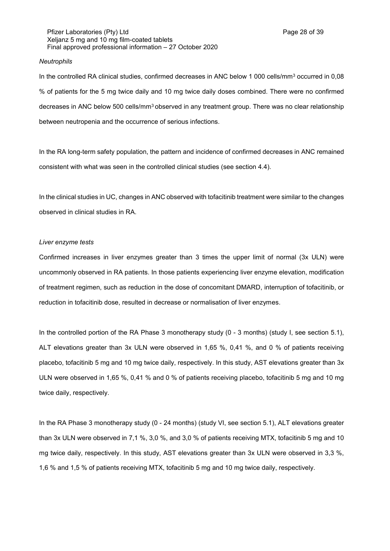### *Neutrophils*

In the controlled RA clinical studies, confirmed decreases in ANC below 1 000 cells/mm<sup>3</sup> occurred in 0,08 % of patients for the 5 mg twice daily and 10 mg twice daily doses combined. There were no confirmed decreases in ANC below 500 cells/mm<sup>3</sup> observed in any treatment group. There was no clear relationship between neutropenia and the occurrence of serious infections.

In the RA long-term safety population, the pattern and incidence of confirmed decreases in ANC remained consistent with what was seen in the controlled clinical studies (see section 4.4).

In the clinical studies in UC, changes in ANC observed with tofacitinib treatment were similar to the changes observed in clinical studies in RA.

### *Liver enzyme tests*

Confirmed increases in liver enzymes greater than 3 times the upper limit of normal (3x ULN) were uncommonly observed in RA patients. In those patients experiencing liver enzyme elevation, modification of treatment regimen, such as reduction in the dose of concomitant DMARD, interruption of tofacitinib, or reduction in tofacitinib dose, resulted in decrease or normalisation of liver enzymes.

In the controlled portion of the RA Phase 3 monotherapy study (0 - 3 months) (study I, see section 5.1), ALT elevations greater than 3x ULN were observed in 1,65 %, 0,41 %, and 0 % of patients receiving placebo, tofacitinib 5 mg and 10 mg twice daily, respectively. In this study, AST elevations greater than 3x ULN were observed in 1,65 %, 0,41 % and 0 % of patients receiving placebo, tofacitinib 5 mg and 10 mg twice daily, respectively.

In the RA Phase 3 monotherapy study (0 - 24 months) (study VI, see section 5.1), ALT elevations greater than 3x ULN were observed in 7,1 %, 3,0 %, and 3,0 % of patients receiving MTX, tofacitinib 5 mg and 10 mg twice daily, respectively. In this study, AST elevations greater than 3x ULN were observed in 3,3 %, 1,6 % and 1,5 % of patients receiving MTX, tofacitinib 5 mg and 10 mg twice daily, respectively.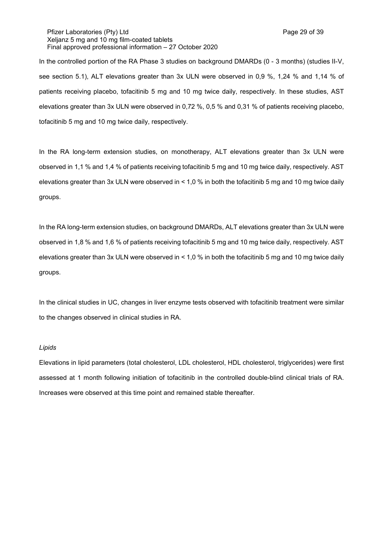Pfizer Laboratories (Pty) Ltd **Philosopheratories** (Pty) Ltd **Page 29 of 39** Xeljanz 5 mg and 10 mg film-coated tablets Final approved professional information – 27 October 2020

In the controlled portion of the RA Phase 3 studies on background DMARDs (0 - 3 months) (studies II-V, see section 5.1), ALT elevations greater than 3x ULN were observed in 0,9 %, 1,24 % and 1,14 % of patients receiving placebo, tofacitinib 5 mg and 10 mg twice daily, respectively. In these studies, AST elevations greater than 3x ULN were observed in 0,72 %, 0,5 % and 0,31 % of patients receiving placebo, tofacitinib 5 mg and 10 mg twice daily, respectively.

In the RA long-term extension studies, on monotherapy, ALT elevations greater than 3x ULN were observed in 1,1 % and 1,4 % of patients receiving tofacitinib 5 mg and 10 mg twice daily, respectively. AST elevations greater than 3x ULN were observed in < 1,0 % in both the tofacitinib 5 mg and 10 mg twice daily groups.

In the RA long-term extension studies, on background DMARDs, ALT elevations greater than 3x ULN were observed in 1,8 % and 1,6 % of patients receiving tofacitinib 5 mg and 10 mg twice daily, respectively. AST elevations greater than 3x ULN were observed in < 1,0 % in both the tofacitinib 5 mg and 10 mg twice daily groups.

In the clinical studies in UC, changes in liver enzyme tests observed with tofacitinib treatment were similar to the changes observed in clinical studies in RA.

## *Lipids*

Elevations in lipid parameters (total cholesterol, LDL cholesterol, HDL cholesterol, triglycerides) were first assessed at 1 month following initiation of tofacitinib in the controlled double-blind clinical trials of RA. Increases were observed at this time point and remained stable thereafter.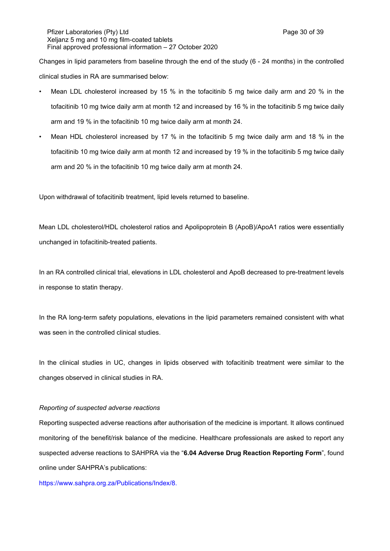Pfizer Laboratories (Pty) Ltd **Philosopheratories** (Pty) Ltd **Page 30 of 39** Xeljanz 5 mg and 10 mg film-coated tablets Final approved professional information – 27 October 2020

Changes in lipid parameters from baseline through the end of the study (6 - 24 months) in the controlled clinical studies in RA are summarised below:

- Mean LDL cholesterol increased by 15 % in the tofacitinib 5 mg twice daily arm and 20 % in the tofacitinib 10 mg twice daily arm at month 12 and increased by 16 % in the tofacitinib 5 mg twice daily arm and 19 % in the tofacitinib 10 mg twice daily arm at month 24.
- Mean HDL cholesterol increased by 17 % in the tofacitinib 5 mg twice daily arm and 18 % in the tofacitinib 10 mg twice daily arm at month 12 and increased by 19 % in the tofacitinib 5 mg twice daily arm and 20 % in the tofacitinib 10 mg twice daily arm at month 24.

Upon withdrawal of tofacitinib treatment, lipid levels returned to baseline.

Mean LDL cholesterol/HDL cholesterol ratios and Apolipoprotein B (ApoB)/ApoA1 ratios were essentially unchanged in tofacitinib-treated patients.

In an RA controlled clinical trial, elevations in LDL cholesterol and ApoB decreased to pre-treatment levels in response to statin therapy.

In the RA long-term safety populations, elevations in the lipid parameters remained consistent with what was seen in the controlled clinical studies.

In the clinical studies in UC, changes in lipids observed with tofacitinib treatment were similar to the changes observed in clinical studies in RA.

#### *Reporting of suspected adverse reactions*

Reporting suspected adverse reactions after authorisation of the medicine is important. It allows continued monitoring of the benefit/risk balance of the medicine. Healthcare professionals are asked to report any suspected adverse reactions to SAHPRA via the "**6.04 Adverse Drug Reaction Reporting Form**", found online under SAHPRA's publications:

[https://www.sahpra.org.za/Publications/Index/8.](https://www.sahpra.org.za/Publications/Index/8)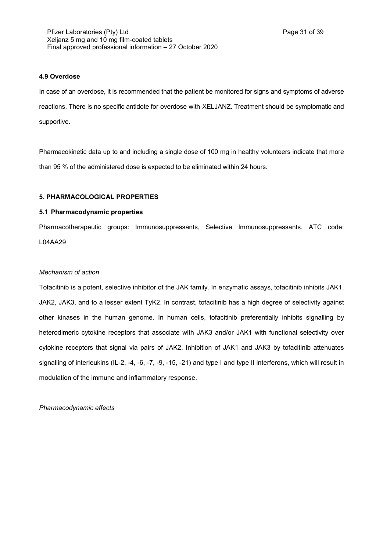## **4.9 Overdose**

In case of an overdose, it is recommended that the patient be monitored for signs and symptoms of adverse reactions. There is no specific antidote for overdose with XELJANZ. Treatment should be symptomatic and supportive.

Pharmacokinetic data up to and including a single dose of 100 mg in healthy volunteers indicate that more than 95 % of the administered dose is expected to be eliminated within 24 hours.

# **5. PHARMACOLOGICAL PROPERTIES**

## **5.1 Pharmacodynamic properties**

Pharmacotherapeutic groups: Immunosuppressants, Selective Immunosuppressants. ATC code: L04AA29

## *Mechanism of action*

Tofacitinib is a potent, selective inhibitor of the JAK family. In enzymatic assays, tofacitinib inhibits JAK1, JAK2, JAK3, and to a lesser extent TyK2. In contrast, tofacitinib has a high degree of selectivity against other kinases in the human genome. In human cells, tofacitinib preferentially inhibits signalling by heterodimeric cytokine receptors that associate with JAK3 and/or JAK1 with functional selectivity over cytokine receptors that signal via pairs of JAK2. Inhibition of JAK1 and JAK3 by tofacitinib attenuates signalling of interleukins (IL-2, -4, -6, -7, -9, -15, -21) and type I and type II interferons, which will result in modulation of the immune and inflammatory response.

*Pharmacodynamic effects*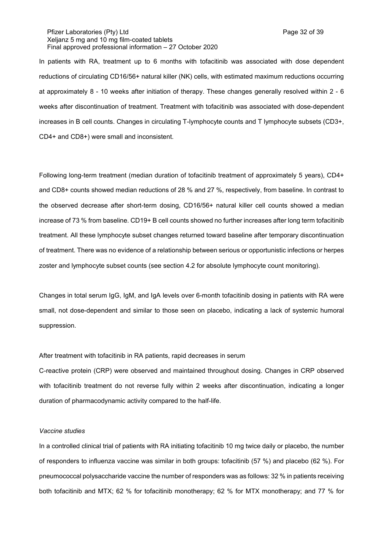Pfizer Laboratories (Pty) Ltd **Philosopheratories** (Pty) Ltd **Page 32 of 39** Xeljanz 5 mg and 10 mg film-coated tablets Final approved professional information – 27 October 2020

In patients with RA, treatment up to 6 months with tofacitinib was associated with dose dependent reductions of circulating CD16/56+ natural killer (NK) cells, with estimated maximum reductions occurring at approximately 8 - 10 weeks after initiation of therapy. These changes generally resolved within 2 - 6 weeks after discontinuation of treatment. Treatment with tofacitinib was associated with dose-dependent increases in B cell counts. Changes in circulating T-lymphocyte counts and T lymphocyte subsets (CD3+, CD4+ and CD8+) were small and inconsistent.

Following long-term treatment (median duration of tofacitinib treatment of approximately 5 years), CD4+ and CD8+ counts showed median reductions of 28 % and 27 %, respectively, from baseline. In contrast to the observed decrease after short-term dosing, CD16/56+ natural killer cell counts showed a median increase of 73 % from baseline. CD19+ B cell counts showed no further increases after long term tofacitinib treatment. All these lymphocyte subset changes returned toward baseline after temporary discontinuation of treatment. There was no evidence of a relationship between serious or opportunistic infections or herpes zoster and lymphocyte subset counts (see section 4.2 for absolute lymphocyte count monitoring).

Changes in total serum IgG, IgM, and IgA levels over 6-month tofacitinib dosing in patients with RA were small, not dose-dependent and similar to those seen on placebo, indicating a lack of systemic humoral suppression.

## After treatment with tofacitinib in RA patients, rapid decreases in serum

C-reactive protein (CRP) were observed and maintained throughout dosing. Changes in CRP observed with tofacitinib treatment do not reverse fully within 2 weeks after discontinuation, indicating a longer duration of pharmacodynamic activity compared to the half-life.

#### *Vaccine studies*

In a controlled clinical trial of patients with RA initiating tofacitinib 10 mg twice daily or placebo, the number of responders to influenza vaccine was similar in both groups: tofacitinib (57 %) and placebo (62 %). For pneumococcal polysaccharide vaccine the number of responders was as follows: 32 % in patients receiving both tofacitinib and MTX; 62 % for tofacitinib monotherapy; 62 % for MTX monotherapy; and 77 % for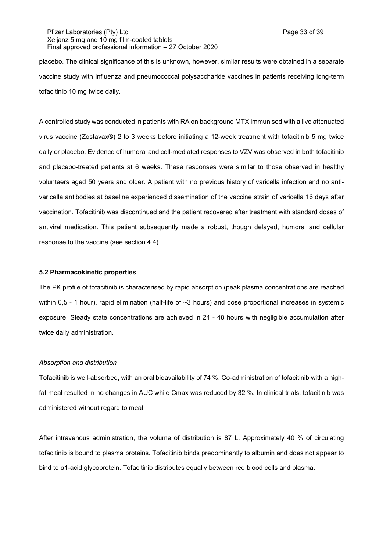Pfizer Laboratories (Pty) Ltd **Philosopheratories** (Pty) Ltd **Page 33 of 39** Xeljanz 5 mg and 10 mg film-coated tablets Final approved professional information – 27 October 2020

placebo. The clinical significance of this is unknown, however, similar results were obtained in a separate vaccine study with influenza and pneumococcal polysaccharide vaccines in patients receiving long-term tofacitinib 10 mg twice daily.

A controlled study was conducted in patients with RA on background MTX immunised with a live attenuated virus vaccine (Zostavax®) 2 to 3 weeks before initiating a 12-week treatment with tofacitinib 5 mg twice daily or placebo. Evidence of humoral and cell-mediated responses to VZV was observed in both tofacitinib and placebo-treated patients at 6 weeks. These responses were similar to those observed in healthy volunteers aged 50 years and older. A patient with no previous history of varicella infection and no antivaricella antibodies at baseline experienced dissemination of the vaccine strain of varicella 16 days after vaccination. Tofacitinib was discontinued and the patient recovered after treatment with standard doses of antiviral medication. This patient subsequently made a robust, though delayed, humoral and cellular response to the vaccine (see section 4.4).

### **5.2 Pharmacokinetic properties**

The PK profile of tofacitinib is characterised by rapid absorption (peak plasma concentrations are reached within 0,5 - 1 hour), rapid elimination (half-life of ~3 hours) and dose proportional increases in systemic exposure. Steady state concentrations are achieved in 24 - 48 hours with negligible accumulation after twice daily administration.

### *Absorption and distribution*

Tofacitinib is well-absorbed, with an oral bioavailability of 74 %. Co-administration of tofacitinib with a highfat meal resulted in no changes in AUC while Cmax was reduced by 32 %. In clinical trials, tofacitinib was administered without regard to meal.

After intravenous administration, the volume of distribution is 87 L. Approximately 40 % of circulating tofacitinib is bound to plasma proteins. Tofacitinib binds predominantly to albumin and does not appear to bind to α1-acid glycoprotein. Tofacitinib distributes equally between red blood cells and plasma.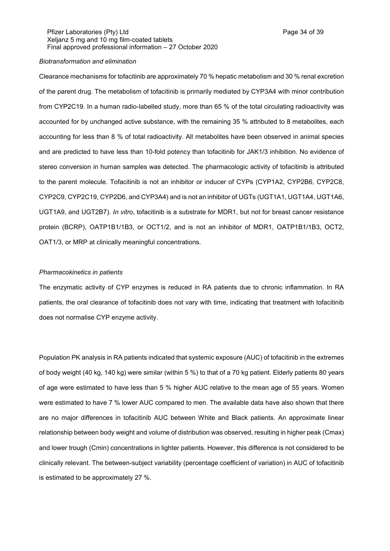Pfizer Laboratories (Pty) Ltd **Philosopheratories** (Pty) Ltd **Page 34 of 39** Xeljanz 5 mg and 10 mg film-coated tablets Final approved professional information – 27 October 2020

### *Biotransformation and elimination*

Clearance mechanisms for tofacitinib are approximately 70 % hepatic metabolism and 30 % renal excretion of the parent drug. The metabolism of tofacitinib is primarily mediated by CYP3A4 with minor contribution from CYP2C19. In a human radio-labelled study, more than 65 % of the total circulating radioactivity was accounted for by unchanged active substance, with the remaining 35 % attributed to 8 metabolites, each accounting for less than 8 % of total radioactivity. All metabolites have been observed in animal species and are predicted to have less than 10-fold potency than tofacitinib for JAK1/3 inhibition. No evidence of stereo conversion in human samples was detected. The pharmacologic activity of tofacitinib is attributed to the parent molecule. Tofacitinib is not an inhibitor or inducer of CYPs (CYP1A2, CYP2B6, CYP2C8, CYP2C9, CYP2C19, CYP2D6, and CYP3A4) and is not an inhibitor of UGTs (UGT1A1, UGT1A4, UGT1A6, UGT1A9, and UGT2B7). *In vitro*, tofacitinib is a substrate for MDR1, but not for breast cancer resistance protein (BCRP), OATP1B1/1B3, or OCT1/2, and is not an inhibitor of MDR1, OATP1B1/1B3, OCT2, OAT1/3, or MRP at clinically meaningful concentrations.

#### *Pharmacokinetics in patients*

The enzymatic activity of CYP enzymes is reduced in RA patients due to chronic inflammation. In RA patients, the oral clearance of tofacitinib does not vary with time, indicating that treatment with tofacitinib does not normalise CYP enzyme activity.

Population PK analysis in RA patients indicated that systemic exposure (AUC) of tofacitinib in the extremes of body weight (40 kg, 140 kg) were similar (within 5 %) to that of a 70 kg patient. Elderly patients 80 years of age were estimated to have less than 5 % higher AUC relative to the mean age of 55 years. Women were estimated to have 7 % lower AUC compared to men. The available data have also shown that there are no major differences in tofacitinib AUC between White and Black patients. An approximate linear relationship between body weight and volume of distribution was observed, resulting in higher peak (Cmax) and lower trough (Cmin) concentrations in lighter patients. However, this difference is not considered to be clinically relevant. The between-subject variability (percentage coefficient of variation) in AUC of tofacitinib is estimated to be approximately 27 %.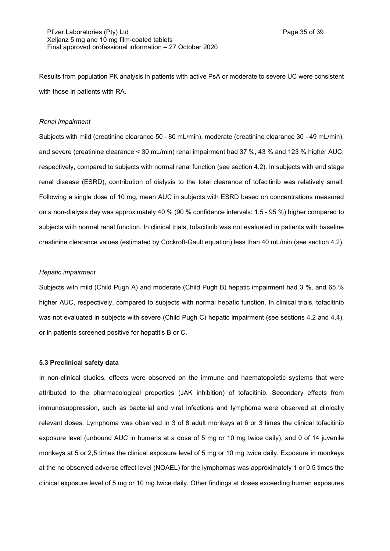Results from population PK analysis in patients with active PsA or moderate to severe UC were consistent with those in patients with RA.

### *Renal impairment*

Subjects with mild (creatinine clearance 50 - 80 mL/min), moderate (creatinine clearance 30 - 49 mL/min), and severe (creatinine clearance < 30 mL/min) renal impairment had 37 %, 43 % and 123 % higher AUC, respectively, compared to subjects with normal renal function (see section 4.2). In subjects with end stage renal disease (ESRD), contribution of dialysis to the total clearance of tofacitinib was relatively small. Following a single dose of 10 mg, mean AUC in subjects with ESRD based on concentrations measured on a non-dialysis day was approximately 40 % (90 % confidence intervals: 1,5 - 95 %) higher compared to subjects with normal renal function. In clinical trials, tofacitinib was not evaluated in patients with baseline creatinine clearance values (estimated by Cockroft-Gault equation) less than 40 mL/min (see section 4.2).

### *Hepatic impairment*

Subjects with mild (Child Pugh A) and moderate (Child Pugh B) hepatic impairment had 3 %, and 65 % higher AUC, respectively, compared to subjects with normal hepatic function. In clinical trials, tofacitinib was not evaluated in subjects with severe (Child Pugh C) hepatic impairment (see sections 4.2 and 4.4), or in patients screened positive for hepatitis B or C.

### **5.3 Preclinical safety data**

In non-clinical studies, effects were observed on the immune and haematopoietic systems that were attributed to the pharmacological properties (JAK inhibition) of tofacitinib. Secondary effects from immunosuppression, such as bacterial and viral infections and lymphoma were observed at clinically relevant doses. Lymphoma was observed in 3 of 8 adult monkeys at 6 or 3 times the clinical tofacitinib exposure level (unbound AUC in humans at a dose of 5 mg or 10 mg twice daily), and 0 of 14 juvenile monkeys at 5 or 2,5 times the clinical exposure level of 5 mg or 10 mg twice daily. Exposure in monkeys at the no observed adverse effect level (NOAEL) for the lymphomas was approximately 1 or 0,5 times the clinical exposure level of 5 mg or 10 mg twice daily. Other findings at doses exceeding human exposures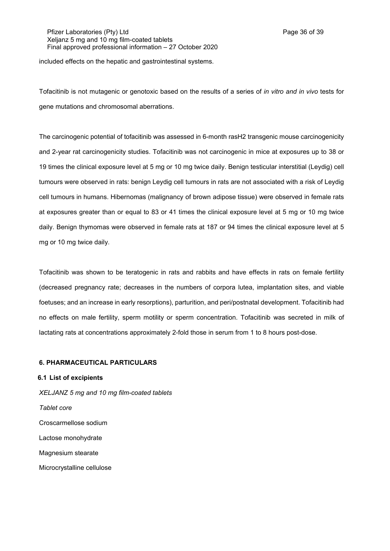Pfizer Laboratories (Pty) Ltd **Philosopheratories** (Pty) Ltd **Page 36 of 39** Xeljanz 5 mg and 10 mg film-coated tablets Final approved professional information – 27 October 2020

included effects on the hepatic and gastrointestinal systems.

Tofacitinib is not mutagenic or genotoxic based on the results of a series of *in vitro and in vivo* tests for gene mutations and chromosomal aberrations.

The carcinogenic potential of tofacitinib was assessed in 6-month rasH2 transgenic mouse carcinogenicity and 2-year rat carcinogenicity studies. Tofacitinib was not carcinogenic in mice at exposures up to 38 or 19 times the clinical exposure level at 5 mg or 10 mg twice daily. Benign testicular interstitial (Leydig) cell tumours were observed in rats: benign Leydig cell tumours in rats are not associated with a risk of Leydig cell tumours in humans. Hibernomas (malignancy of brown adipose tissue) were observed in female rats at exposures greater than or equal to 83 or 41 times the clinical exposure level at 5 mg or 10 mg twice daily. Benign thymomas were observed in female rats at 187 or 94 times the clinical exposure level at 5 mg or 10 mg twice daily.

Tofacitinib was shown to be teratogenic in rats and rabbits and have effects in rats on female fertility (decreased pregnancy rate; decreases in the numbers of corpora lutea, implantation sites, and viable foetuses; and an increase in early resorptions), parturition, and peri/postnatal development. Tofacitinib had no effects on male fertility, sperm motility or sperm concentration. Tofacitinib was secreted in milk of lactating rats at concentrations approximately 2-fold those in serum from 1 to 8 hours post-dose.

# **6. PHARMACEUTICAL PARTICULARS**

**6.1 List of excipients** *XELJANZ 5 mg and 10 mg film-coated tablets Tablet core* Croscarmellose sodium Lactose monohydrate Magnesium stearate Microcrystalline cellulose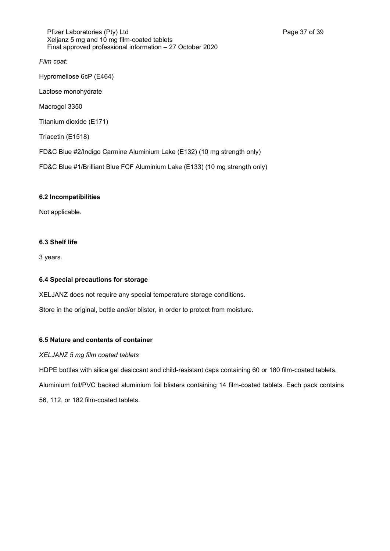Pfizer Laboratories (Pty) Ltd **Philosopheratories** (Pty) Ltd **Page 37 of 39** Xeljanz 5 mg and 10 mg film-coated tablets Final approved professional information – 27 October 2020

*Film coat:*

Hypromellose 6cP (E464)

Lactose monohydrate

Macrogol 3350

Titanium dioxide (E171)

Triacetin (E1518)

FD&C Blue #2/Indigo Carmine Aluminium Lake (E132) (10 mg strength only)

FD&C Blue #1/Brilliant Blue FCF Aluminium Lake (E133) (10 mg strength only)

## **6.2 Incompatibilities**

Not applicable.

## **6.3 Shelf life**

3 years.

## **6.4 Special precautions for storage**

XELJANZ does not require any special temperature storage conditions.

Store in the original, bottle and/or blister, in order to protect from moisture.

# **6.5 Nature and contents of container**

# *XELJANZ 5 mg film coated tablets*

HDPE bottles with silica gel desiccant and child-resistant caps containing 60 or 180 film-coated tablets.

Aluminium foil/PVC backed aluminium foil blisters containing 14 film-coated tablets. Each pack contains 56, 112, or 182 film-coated tablets.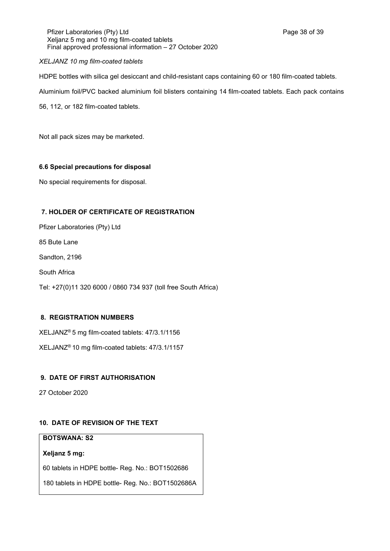Pfizer Laboratories (Pty) Ltd **Philosopheratories** (Pty) Ltd **Page 38 of 39** Xeljanz 5 mg and 10 mg film-coated tablets Final approved professional information – 27 October 2020

# *XELJANZ 10 mg film-coated tablets*

HDPE bottles with silica gel desiccant and child-resistant caps containing 60 or 180 film-coated tablets.

Aluminium foil/PVC backed aluminium foil blisters containing 14 film-coated tablets. Each pack contains

56, 112, or 182 film-coated tablets.

Not all pack sizes may be marketed.

# **6.6 Special precautions for disposal**

No special requirements for disposal.

# **7. HOLDER OF CERTIFICATE OF REGISTRATION**

Pfizer Laboratories (Pty) Ltd

85 Bute Lane

Sandton, 2196

South Africa

Tel: +27(0)11 320 6000 / 0860 734 937 (toll free South Africa)

# **8. REGISTRATION NUMBERS**

XELJANZ® 5 mg film-coated tablets: 47/3.1/1156

XELJANZ® 10 mg film-coated tablets: 47/3.1/1157

# **9. DATE OF FIRST AUTHORISATION**

27 October 2020

# **10. DATE OF REVISION OF THE TEXT**

# **BOTSWANA: S2**

**Xeljanz 5 mg:**

60 tablets in HDPE bottle- Reg. No.: BOT1502686

180 tablets in HDPE bottle- Reg. No.: BOT1502686A